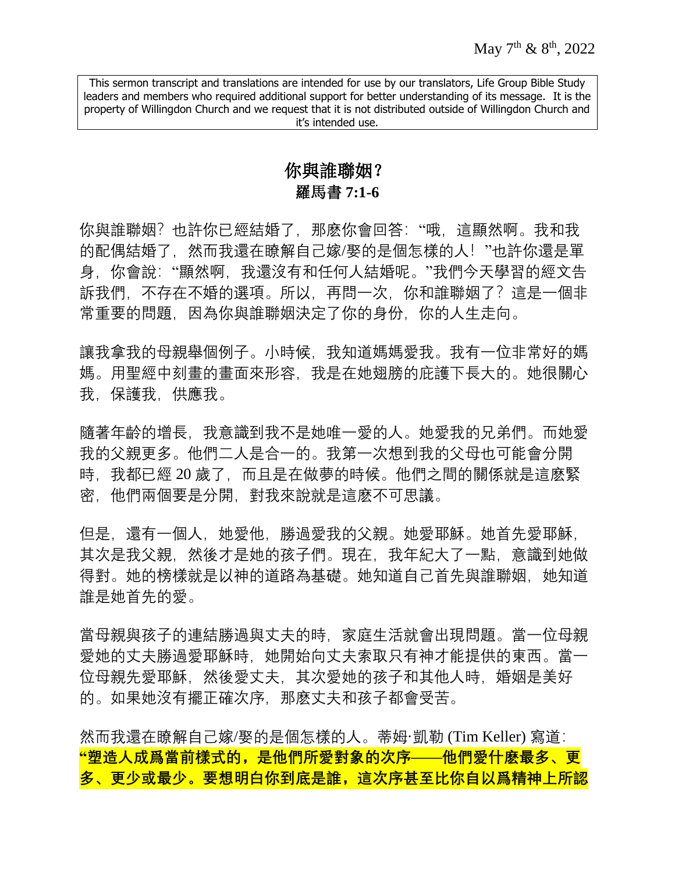# 你與誰聯姻? 羅馬書 **7:1-6**

你與誰聯姻?也許你已經結婚了,那麽你會回答:"哦,這顯然啊。我和我 的配偶結婚了,然而我還在瞭解自己嫁/娶的是個怎樣的人!"也許你還是單 身,你會說:"顯然啊,我還沒有和任何人結婚呢。"我們今天學習的經文告 訴我們,不存在不婚的選項。所以,再問一次,你和誰聯姻了?這是一個非 常重要的問題,因為你與誰聯姻決定了你的身份,你的人生走向。

讓我拿我的母親舉個例子。小時候,我知道媽媽愛我。我有一位非常好的媽 媽。用聖經中刻畫的畫面來形容,我是在她翅膀的庇護下長大的。她很關心 我,保護我,供應我。

隨著年齡的增長,我意識到我不是她唯一愛的人。她愛我的兄弟們。而她愛 我的父親更多。他們二人是合一的。我第一次想到我的父母也可能會分開 時, 我都已經 20 歲了, 而且是在做夢的時候。他們之間的關係就是這麽緊 密,他們兩個要是分開,對我來說就是這麽不可思議。

但是,還有一個人,她愛他,勝過愛我的父親。她愛耶穌。她首先愛耶穌, 其次是我父親,然後才是她的孩子們。現在,我年紀大了一點,意識到她做 得對。她的榜樣就是以神的道路為基礎。她知道自己首先與誰聯姻,她知道 誰是她首先的愛。

當母親與孩子的連結勝過與丈夫的時,家庭生活就會出現問題。當一位母親 愛她的丈夫勝過愛耶穌時,她開始向丈夫索取只有神才能提供的東西。當一 位母親先愛耶穌,然後愛丈夫,其次愛她的孩子和其他人時,婚姻是美好 的。如果她沒有擺正確次序,那麽丈夫和孩子都會受苦。

然而我還在瞭解自己嫁/娶的是個怎樣的人。蒂姆·凱勒 (Tim Keller) 寫道: **"塑造人成爲當前樣式的,是他們所愛對象的次序——他們愛什麽最多、更 多、更少或最少。要想明白你到底是誰,這次序甚至比你自以爲精神上所認**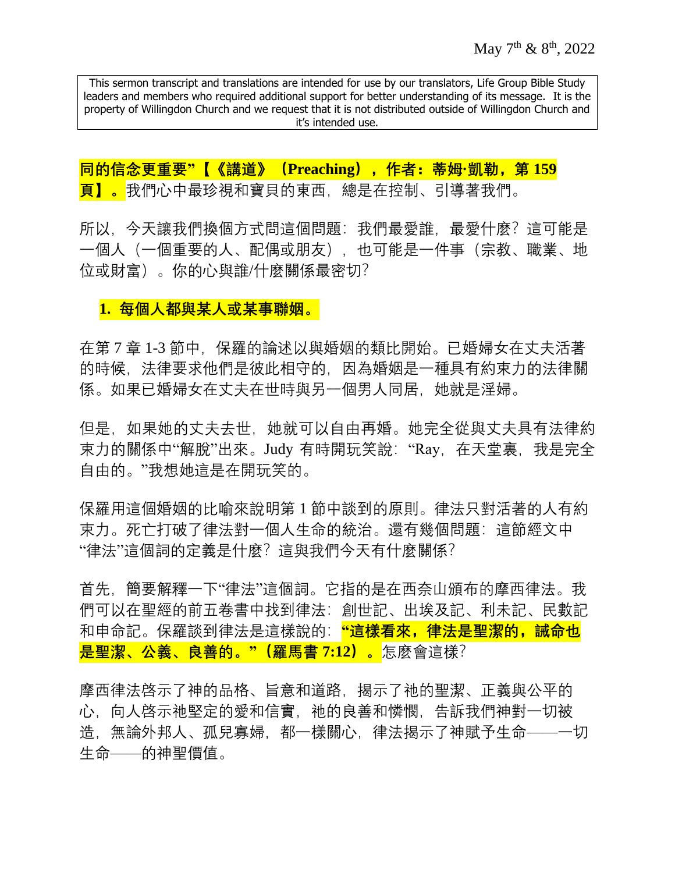**同的信念更重要"【《講道》(Preaching),作者:蒂姆·凱勒,第 159 頁】。**我們心中最珍視和寶貝的東西,總是在控制、引導著我們。

所以, 今天讓我們換個方式問這個問題: 我們最愛誰, 最愛什麼? 這可能是 一個人(一個重要的人、配偶或朋友),也可能是一件事(宗教、職業、地 位或財富)。你的心與誰/什麼關係最密切?

### **1. 每個人都與某人或某事聯姻。**

在第 7 章 1-3 節中,保羅的論述以與婚姻的類比開始。已婚婦女在丈夫活著 的時候,法律要求他們是彼此相守的,因為婚姻是一種具有約束力的法律關 係。如果已婚婦女在丈夫在世時與另一個男人同居,她就是淫婦。

但是,如果她的丈夫去世,她就可以自由再婚。她完全從與丈夫具有法律約 束力的關係中"解脫"出來。Judy 有時開玩笑說: "Ray, 在天堂裏, 我是完全 自由的。"我想她這是在開玩笑的。

保羅用這個婚姻的比喻來說明第 1 節中談到的原則。律法只對活著的人有約 束力。死亡打破了律法對一個人生命的統治。還有幾個問題:這節經文中 "律法"這個詞的定義是什麼?這與我們今天有什麼關係?

首先,簡要解釋一下"律法"這個詞。它指的是在西奈山頒布的摩西律法。我 們可以在聖經的前五卷書中找到律法:創世記、出埃及記、利未記、民數記 和申命記。保羅談到律法是這樣說的: <mark>"這樣看來,律法是聖潔的,誡命也</mark> **是聖潔、公義、良善的。"(羅馬書 7:12)。**怎麼會這樣?

摩西律法啓示了神的品格、旨意和道路,揭示了祂的聖潔、正義與公平的 心,向人啓示祂堅定的愛和信實,祂的良善和憐憫,告訴我們神對一切被 造,無論外邦人、孤兒寡婦,都一樣關心,律法揭示了神賦予生命——一切 生命——的神聖價值。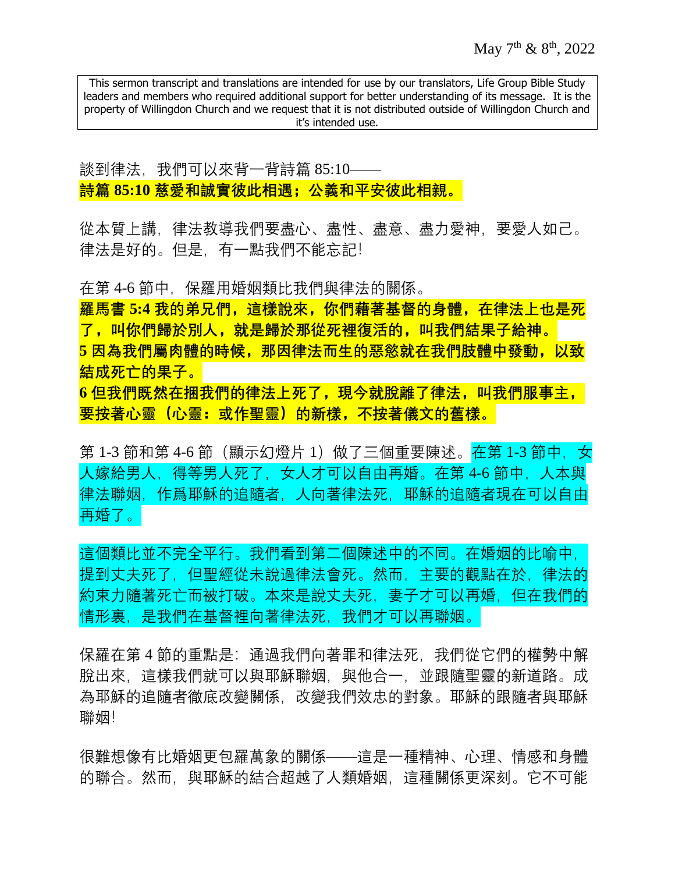談到律法,我們可以來背一背詩篇 85:10—— **詩篇 85:10 慈愛和誠實彼此相遇;公義和平安彼此相親。**

從本質上講,律法教導我們要盡心、盡性、盡意、盡力愛神,要愛人如己。 律法是好的。但是,有一點我們不能忘記!

在第 4-6 節中,保羅用婚姻類比我們與律法的關係。 **羅馬書 5:4 我的弟兄們,這樣說來,你們藉著基督的身體,在律法上也是死 了,叫你們歸於別人,就是歸於那從死裡復活的,叫我們結果子給神。** 5 因為我們屬肉體的時候, 那因律法而生的惡慾就在我們肢體中發動, 以致 **結成死亡的果子。**

**6 但我們既然在捆我們的律法上死了,現今就脫離了律法,叫我們服事主, 要按著心靈(心靈:或作聖靈)的新樣,不按著儀文的舊樣。**

第 1-3 節和第 4-6 節(顯示幻燈片 1)做了三個重要陳述。<mark>在第 1-3 節中,女</mark> 人嫁給男人,得等男人死了,女人才可以自由再婚。在第 4-6 節中, 人本與 律法聯姻,作爲耶穌的追隨者,人向著律法死,耶穌的追隨者現在可以自由 再婚了。

這個類比並不完全平行。我們看到第二個陳述中的不同。在婚姻的比喻中, 提到丈夫死了,但聖經從未說過律法會死。然而,主要的觀點在於,律法的 約束力隨著死亡而被打破。本來是說丈夫死,妻子才可以再婚,但在我們的 情形裏,是我們在基督裡向著律法死,我們才可以再聯姻。

保羅在第 4 節的重點是: 通過我們向著罪和律法死, 我們從它們的權勢中解 脫出來,這樣我們就可以與耶穌聯姻,與他合一,並跟隨聖靈的新道路。成 為耶穌的追隨者徹底改變關係,改變我們效忠的對象。耶穌的跟隨者與耶穌 聯姻!

很難想像有比婚姻更包羅萬象的關係——這是一種精神、心理、情感和身體 的聯合。然而,與耶穌的結合超越了人類婚姻,這種關係更深刻。它不可能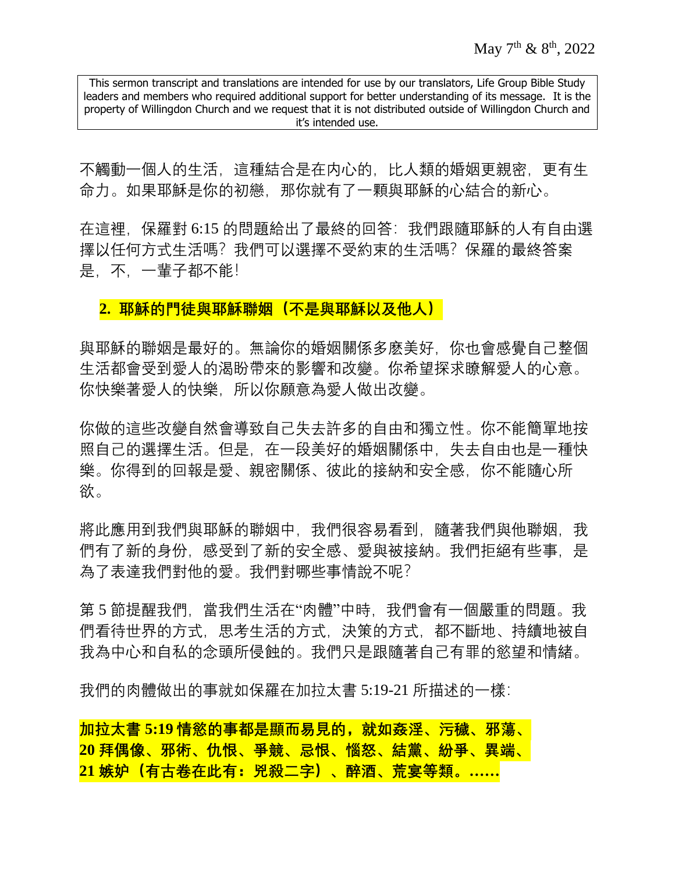不觸動一個人的生活,這種結合是在内心的,比人類的婚姻更親密,更有生 命力。如果耶穌是你的初戀,那你就有了一顆與耶穌的心結合的新心。

在這裡,保羅對 6:15 的問題給出了最終的回答:我們跟隨耶穌的人有自由選 擇以任何方式生活嗎?我們可以選擇不受約束的生活嗎?保羅的最終答案 是,不,一輩子都不能!

#### 2. 耶穌的門徒與耶穌聯姻(不是與耶穌以及他人)

與耶穌的聯姻是最好的。無論你的婚姻關係多麽美好,你也會感覺自己整個 生活都會受到愛人的渴盼帶來的影響和改變。你希望探求瞭解愛人的心意。 你快樂著愛人的快樂,所以你願意為愛人做出改變。

你做的這些改變自然會導致自己失去許多的自由和獨立性。你不能簡單地按 照自己的選擇生活。但是,在一段美好的婚姻關係中,失去自由也是一種快 樂。你得到的回報是愛、親密關係、彼此的接納和安全感,你不能隨心所 欲。

將此應用到我們與耶穌的聯姻中,我們很容易看到,隨著我們與他聯姻,我 們有了新的身份,感受到了新的安全感、愛與被接納。我們拒絕有些事,是 為了表達我們對他的愛。我們對哪些事情說不呢?

第 5 節提醒我們, 當我們生活在"肉體"中時, 我們會有一個嚴重的問題。我 們看待世界的方式,思考生活的方式,決策的方式,都不斷地、持續地被自 我為中心和自私的念頭所侵蝕的。我們只是跟隨著自己有罪的慾望和情緒。

我們的肉體做出的事就如保羅在加拉太書 5:19-21 所描述的一樣:

**加拉太書 5:19 情慾的事都是顯而易見的,就如姦淫、污穢、邪蕩、 20 拜偶像、邪術、仇恨、爭競、忌恨、惱怒、結黨、紛爭、異端、 21 嫉妒(有古卷在此有:兇殺二字)、醉酒、荒宴等類。……**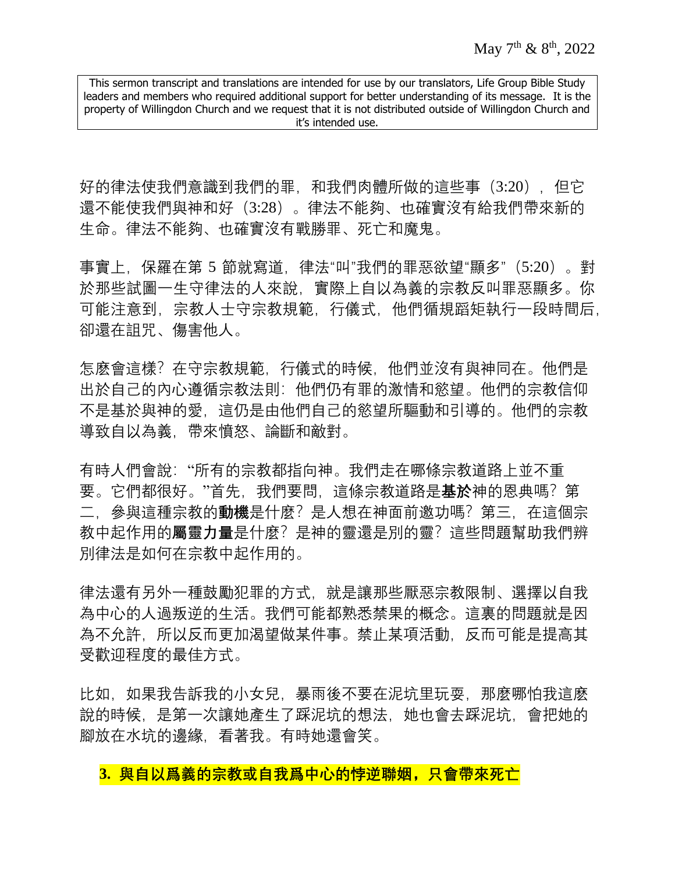好的律法使我們意識到我們的罪,和我們肉體所做的這些事 (3:20), 但它 還不能使我們與神和好(3:28)。律法不能夠、也確實沒有給我們帶來新的 生命。律法不能夠、也確實沒有戰勝罪、死亡和魔鬼。

事實上,保羅在第 5 節就寫道,律法"叫"我們的罪惡欲望"顯多"(5:20)。對 於那些試圖一生守律法的人來說,實際上自以為義的宗教反叫罪惡顯多。你 可能注意到,宗教人士守宗教規範,行儀式,他們循規蹈矩執行一段時間后, 卻還在詛咒、傷害他人。

怎麽會這樣?在守宗教規範, 行儀式的時候, 他們並沒有與神同在。他們是 出於自己的內心遵循宗教法則:他們仍有罪的激情和慾望。他們的宗教信仰 不是基於與神的愛,這仍是由他們自己的慾望所驅動和引導的。他們的宗教 導致自以為義,帶來憤怒、論斷和敵對。

有時人們會說:"所有的宗教都指向神。我們走在哪條宗教道路上並不重 要。它們都很好。"首先,我們要問,這條宗教道路是**基於**神的恩典嗎?第 二, 參與這種宗教的**動機**是什麼? 是人想在神面前邀功嗎? 第三, 在這個宗 教中起作用的**屬靈力量**是什麼?是神的靈還是別的靈?這些問題幫助我們辨 別律法是如何在宗教中起作用的。

律法還有另外一種鼓勵犯罪的方式,就是讓那些厭惡宗教限制、選擇以自我 為中心的人過叛逆的生活。我們可能都熟悉禁果的概念。這裏的問題就是因 為不允許,所以反而更加渴望做某件事。禁止某項活動,反而可能是提高其 受歡迎程度的最佳方式。

比如,如果我告訴我的小女兒,暴雨後不要在泥坑里玩耍,那麼哪怕我這麽 說的時候,是第一次讓她產生了踩泥坑的想法,她也會去踩泥坑,會把她的 腳放在水坑的邊緣,看著我。有時她還會笑。

**3. 與自以爲義的宗教或自我爲中心的悖逆聯姻,只會帶來死亡**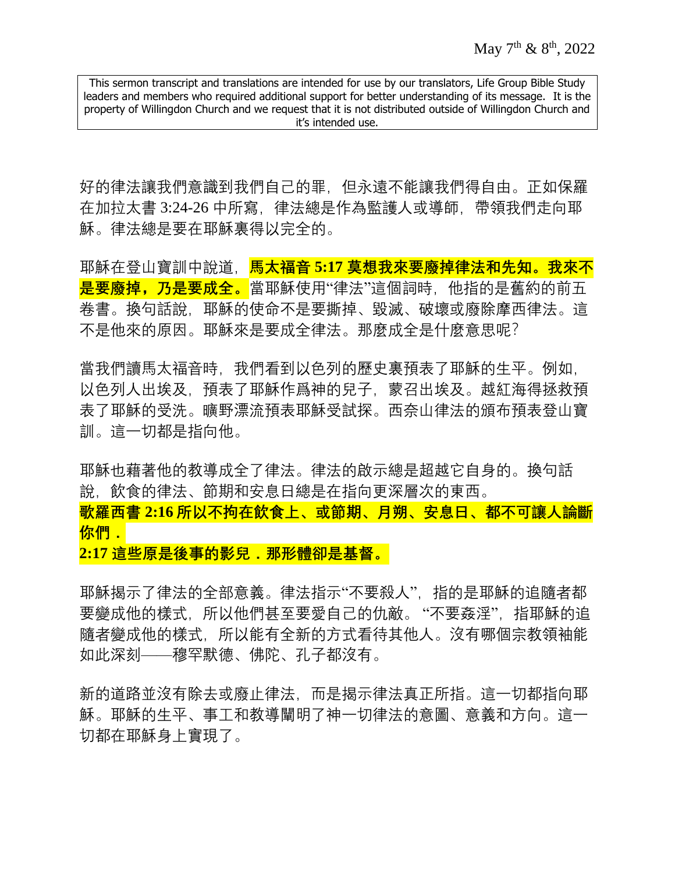好的律法讓我們意識到我們自己的罪,但永遠不能讓我們得自由。正如保羅 在加拉太書 3:24-26 中所寫,律法總是作為監護人或導師,帶領我們走向耶 穌。律法總是要在耶穌裏得以完全的。

耶穌在登山寶訓中說道,**馬太福音 5:17 莫想我來要廢掉律法和先知。我來不 是要廢掉,乃是要成全。**當耶穌使用"律法"這個詞時,他指的是舊約的前五 卷書。換句話說,耶穌的使命不是要撕掉、毀滅、破壞或廢除摩西律法。這 不是他來的原因。耶穌來是要成全律法。那麼成全是什麼意思呢?

當我們讀馬太福音時,我們看到以色列的歷史裏預表了耶穌的生平。例如, 以色列人出埃及,預表了耶穌作爲神的兒子,蒙召出埃及。越紅海得拯救預 表了耶穌的受洗。曠野漂流預表耶穌受試探。西奈山律法的頒布預表登山寶 訓。這一切都是指向他。

耶穌也藉著他的教導成全了律法。律法的啟示總是超越它自身的。換句話 說,飲食的律法、節期和安息日總是在指向更深層次的東西。 **歌羅西書 2:16 所以不拘在飲食上、或節期、月朔、安息日、都不可讓人論斷 你們.**

**2:17 這些原是後事的影兒.那形體卻是基督。**

耶穌揭示了律法的全部意義。律法指示"不要殺人",指的是耶穌的追隨者都 要變成他的樣式,所以他們甚至要愛自己的仇敵。 "不要姦淫",指耶穌的追 隨者變成他的樣式,所以能有全新的方式看待其他人。沒有哪個宗教領袖能 如此深刻——穆罕默德、佛陀、孔子都沒有。

新的道路並沒有除去或廢止律法,而是揭示律法真正所指。這一切都指向耶 穌。耶穌的生平、事工和教導闡明了神一切律法的意圖、意義和方向。這一 切都在耶穌身上實現了。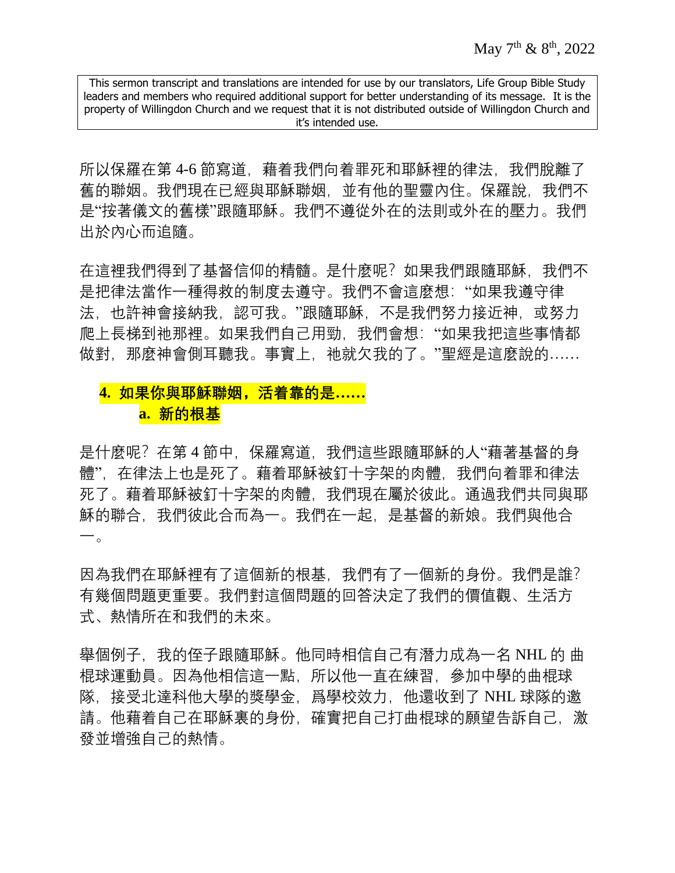所以保羅在第 4-6 節寫道,藉着我們向着罪死和耶穌裡的律法,我們脫離了 舊的聯姻。我們現在已經與耶穌聯姻,並有他的聖靈內住。保羅說,我們不 是"按著儀文的舊樣"跟隨耶穌。我們不遵從外在的法則或外在的壓力。我們 出於內心而追隨。

在這裡我們得到了基督信仰的精髓。是什麼呢?如果我們跟隨耶穌,我們不 是把律法當作一種得救的制度去遵守。我們不會這麼想:"如果我遵守律 法,也許神會接納我,認可我。"跟隨耶穌,不是我們努力接近神,或努力 爬上長梯到祂那裡。如果我們自己用勁,我們會想:"如果我把這些事情都 做對, 那麼神會側耳聽我。事實上, 祂就欠我的了。"聖經是這麼說的……

### **4. 如果你與耶穌聯姻,活着靠的是…… a. 新的根基**

是什麼呢?在第 4 節中, 保羅寫道, 我們這些跟隨耶穌的人"藉著基督的身 體",在律法上也是死了。藉着耶穌被釘十字架的肉體,我們向着罪和律法 死了。藉着耶穌被釘十字架的肉體,我們現在屬於彼此。通過我們共同與耶 穌的聯合,我們彼此合而為一。我們在一起,是基督的新娘。我們與他合 一。

因為我們在耶穌裡有了這個新的根基,我們有了一個新的身份。我們是誰? 有幾個問題更重要。我們對這個問題的回答決定了我們的價值觀、生活方 式、熱情所在和我們的未來。

舉個例子,我的侄子跟隨耶穌。他同時相信自己有潛力成為一名 NHL 的 曲 棍球運動員。因為他相信這一點,所以他一直在練習,參加中學的曲棍球 隊, 接受北達科他大學的獎學金, 爲學校效力, 他還收到了 NHL 球隊的邀 請。他藉着自己在耶穌裏的身份,確實把自己打曲棍球的願望告訴自己,激 發並增強自己的熱情。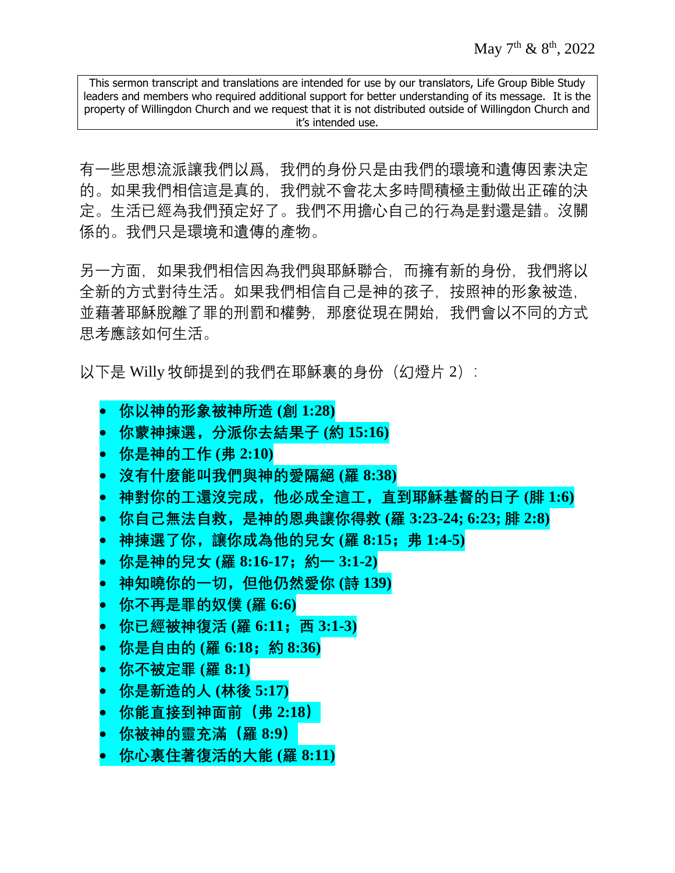有一些思想流派讓我們以爲,我們的身份只是由我們的環境和遺傳因素決定 的。如果我們相信這是真的,我們就不會花太多時間積極主動做出正確的決 定。生活已經為我們預定好了。我們不用擔心自己的行為是對還是錯。沒關 係的。我們只是環境和遺傳的產物。

另一方面,如果我們相信因為我們與耶穌聯合,而擁有新的身份,我們將以 全新的方式對待生活。如果我們相信自己是神的孩子,按照神的形象被造, 並藉著耶穌脫離了罪的刑罰和權勢,那麼從現在開始,我們會以不同的方式 思考應該如何生活。

以下是 Willy 牧師提到的我們在耶穌裏的身份 (幻燈片 2):

- **你以神的形象被神所造 (創 1:28)**
- **你蒙神揀選,分派你去結果子 (約 15:16)**
- **你是神的工作 (弗 2:10)**
- **沒有什麼能叫我們與神的愛隔絕 (羅 8:38)**
- **神對你的工還沒完成,他必成全這工,直到耶穌基督的日子 (腓 1:6)**
- **你自己無法自救,是神的恩典讓你得救 (羅 3:23-24; 6:23; 腓 2:8)**
- **神揀選了你,讓你成為他的兒女 (羅 8:15;弗 1:4-5)**
- **你是神的兒女 (羅 8:16-17;約一 3:1-2)**
- **神知曉你的一切,但他仍然愛你 (詩 139)**
- **你不再是罪的奴僕 (羅 6:6)**
- **4. 你已經被神復活** (羅 6:11; 西 3:1-3)
- **你是自由的 (羅 6:18;約 8:36)**
- **你不被定罪 (羅 8:1)**
- **你是新造的人 (林後 5:17)**
- **你能直接到神面前(弗 2:18)**
- **你被神的靈充滿(羅 8:9)**
- **你心裏住著復活的大能 (羅 8:11)**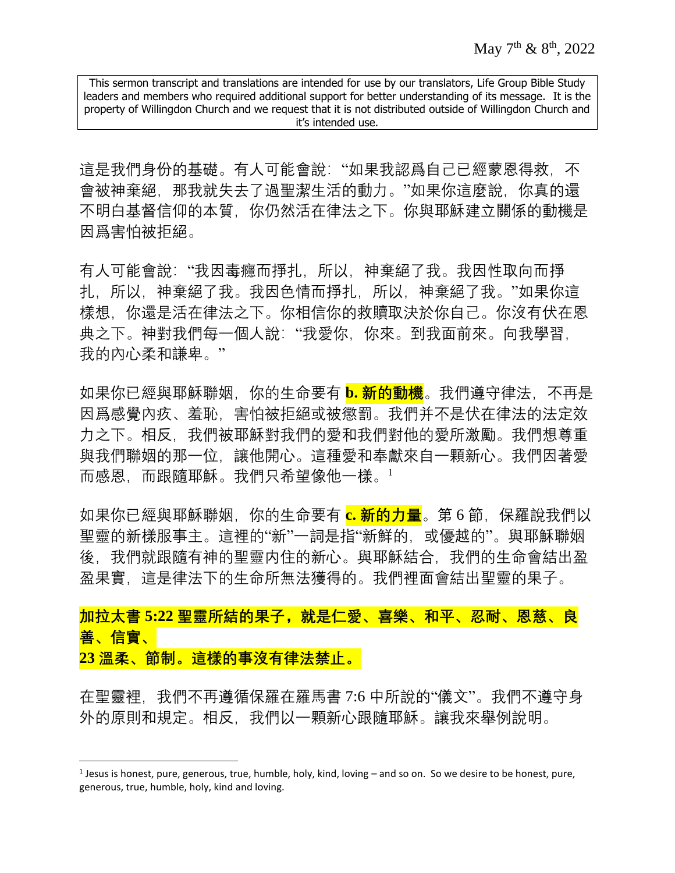這是我們身份的基礎。有人可能會說:"如果我認爲自己已經蒙恩得救, 不 會被神棄絕,那我就失去了過聖潔生活的動力。"如果你這麼說,你真的還 不明白基督信仰的本質,你仍然活在律法之下。你與耶穌建立關係的動機是 因爲害怕被拒絕。

有人可能會說: "我因毒癮而掙扎, 所以, 神棄絕了我。我因性取向而掙 扎,所以,神棄絕了我。我因色情而掙扎,所以,神棄絕了我。"如果你這 樣想,你還是活在律法之下。你相信你的救贖取決於你自己。你沒有伏在恩 典之下。神對我們每一個人說:"我愛你,你來。到我面前來。向我學習, 我的內心柔和謙卑。"

如果你已經與耶穌聯姻,你的生命要有 **b. 新的動機**。我們遵守律法,不再是 因爲感覺內疚、羞恥、害怕被拒絕或被懲罰。我們并不是伏在律法的法定效 力之下。相反,我們被耶穌對我們的愛和我們對他的愛所激勵。我們想尊重 與我們聯姻的那一位,讓他開心。這種愛和奉獻來自一顆新心。我們因著愛 而感恩,而跟隨耶穌。我們只希望像他一樣。<sup>1</sup>

如果你已經與耶穌聯姻,你的生命要有 **c. 新的力量**。第 6 節,保羅說我們以 聖靈的新樣服事主。這裡的"新"一詞是指"新鮮的,或優越的"。與耶穌聯姻 後,我們就跟隨有神的聖靈内住的新心。與耶穌結合,我們的生命會結出盈 盈果實,這是律法下的生命所無法獲得的。我們裡面會結出聖靈的果子。

**加拉太書 5:22 聖靈所結的果子,就是仁愛、喜樂、和平、忍耐、恩慈、良 善、信實、 23 溫柔、節制。這樣的事沒有律法禁止。**

在聖靈裡,我們不再遵循保羅在羅馬書 7:6 中所說的"儀文"。我們不遵守身 外的原則和規定。相反,我們以一顆新心跟隨耶穌。讓我來舉例說明。

 $\overline{\phantom{a}}$ 

 $<sup>1</sup>$  Jesus is honest, pure, generous, true, humble, holy, kind, loving – and so on. So we desire to be honest, pure,</sup> generous, true, humble, holy, kind and loving.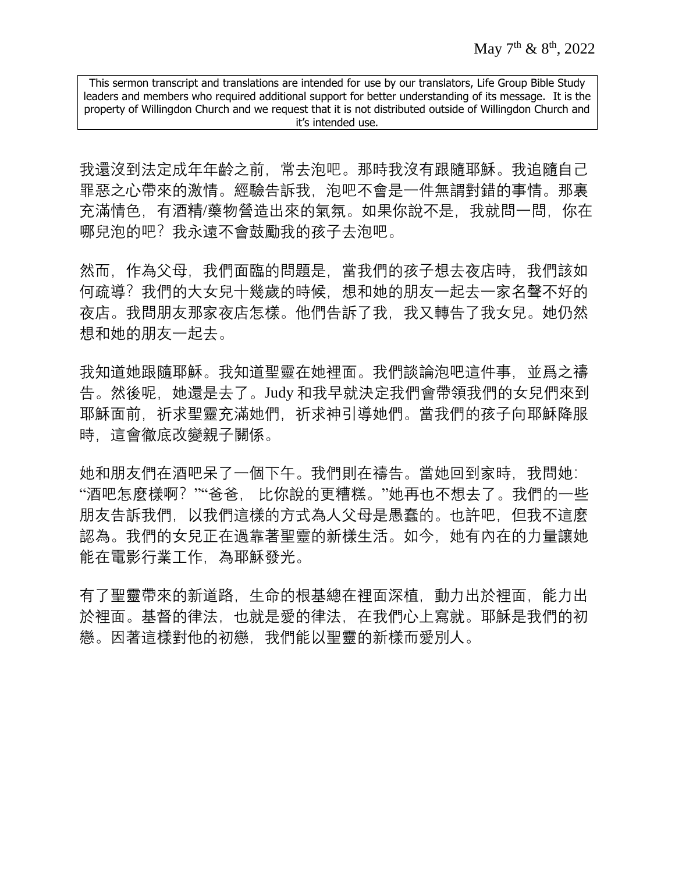我還沒到法定成年年齡之前,常去泡吧。那時我沒有跟隨耶穌。我追隨自己 罪惡之心帶來的激情。經驗告訴我, 泡吧不會是一件無謂對錯的事情。那裏 充滿情色, 有酒精/藥物營造出來的氣氛。如果你說不是, 我就問一問, 你在 哪兒泡的吧?我永遠不會鼓勵我的孩子去泡吧。

然而,作為父母,我們面臨的問題是,當我們的孩子想去夜店時,我們該如 何疏導?我們的大女兒十幾歲的時候,想和她的朋友一起去一家名聲不好的 夜店。我問朋友那家夜店怎樣。他們告訴了我,我又轉告了我女兒。她仍然 想和她的朋友一起去。

我知道她跟隨耶穌。我知道聖靈在她裡面。我們談論泡吧這件事,並爲之禱 告。然後呢,她還是去了。Judy 和我早就決定我們會帶領我們的女兒們來到 耶穌面前,祈求運靈充滿她們,祈求神引導她們。當我們的孩子向耶穌降服 時,這會徹底改變親子關係。

她和朋友們在酒吧呆了一個下午。我們則在禱告。當她回到家時,我問她: "酒吧怎麼樣啊?""爸爸, 比你說的更糟糕。"她再也不想去了。我們的一些 朋友告訴我們,以我們這樣的方式為人父母是愚蠢的。也許吧,但我不這麼 認為。我們的女兒正在過靠著聖靈的新樣生活。如今,她有內在的力量讓她 能在電影行業工作,為耶穌發光。

有了聖靈帶來的新道路,生命的根基總在裡面深植,動力出於裡面,能力出 於裡面。基督的律法,也就是愛的律法,在我們心上寫就。耶穌是我們的初 戀。因著這樣對他的初戀,我們能以聖靈的新樣而愛別人。